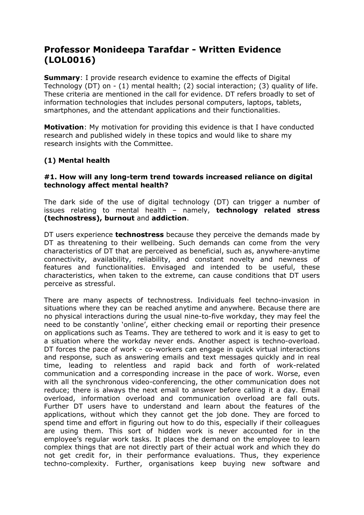# **Professor Monideepa Tarafdar - Written Evidence (LOL0016)**

**Summary**: I provide research evidence to examine the effects of Digital Technology (DT) on - (1) mental health; (2) social interaction; (3) quality of life. These criteria are mentioned in the call for evidence. DT refers broadly to set of information technologies that includes personal computers, laptops, tablets, smartphones, and the attendant applications and their functionalities.

**Motivation**: My motivation for providing this evidence is that I have conducted research and published widely in these topics and would like to share my research insights with the Committee.

## **(1) Mental health**

## **#1. How will any long-term trend towards increased reliance on digital technology affect mental health?**

The dark side of the use of digital technology (DT) can trigger a number of issues relating to mental health – namely, **technology related stress (technostress), burnout** and **addiction**.

DT users experience **technostress** because they perceive the demands made by DT as threatening to their wellbeing. Such demands can come from the very characteristics of DT that are perceived as beneficial, such as, anywhere-anytime connectivity, availability, reliability, and constant novelty and newness of features and functionalities. Envisaged and intended to be useful, these characteristics, when taken to the extreme, can cause conditions that DT users perceive as stressful.

There are many aspects of technostress. Individuals feel techno-invasion in situations where they can be reached anytime and anywhere. Because there are no physical interactions during the usual nine-to-five workday, they may feel the need to be constantly 'online', either checking email or reporting their presence on applications such as Teams. They are tethered to work and it is easy to get to a situation where the workday never ends. Another aspect is techno-overload. DT forces the pace of work - co-workers can engage in quick virtual interactions and response, such as answering emails and text messages quickly and in real time, leading to relentless and rapid back and forth of work-related communication and a corresponding increase in the pace of work. Worse, even with all the synchronous video-conferencing, the other communication does not reduce; there is always the next email to answer before calling it a day. Email overload, information overload and communication overload are fall outs. Further DT users have to understand and learn about the features of the applications, without which they cannot get the job done. They are forced to spend time and effort in figuring out how to do this, especially if their colleagues are using them. This sort of hidden work is never accounted for in the employee's regular work tasks. It places the demand on the employee to learn complex things that are not directly part of their actual work and which they do not get credit for, in their performance evaluations. Thus, they experience techno-complexity. Further, organisations keep buying new software and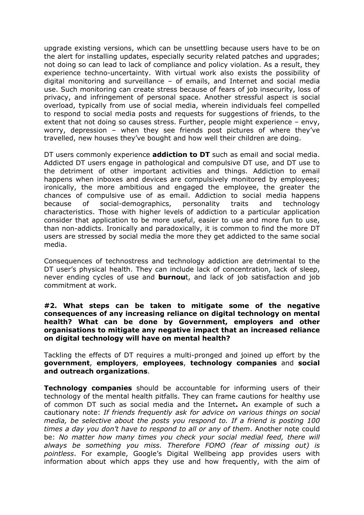upgrade existing versions, which can be unsettling because users have to be on the alert for installing updates, especially security related patches and upgrades; not doing so can lead to lack of compliance and policy violation. As a result, they experience techno-uncertainty. With virtual work also exists the possibility of digital monitoring and surveillance – of emails, and Internet and social media use. Such monitoring can create stress because of fears of job insecurity, loss of privacy, and infringement of personal space. Another stressful aspect is social overload, typically from use of social media, wherein individuals feel compelled to respond to social media posts and requests for suggestions of friends, to the extent that not doing so causes stress. Further, people might experience – envy, worry, depression – when they see friends post pictures of where they've travelled, new houses they've bought and how well their children are doing.

DT users commonly experience **addiction to DT** such as email and social media. Addicted DT users engage in pathological and compulsive DT use, and DT use to the detriment of other important activities and things. Addiction to email happens when inboxes and devices are compulsively monitored by employees; ironically, the more ambitious and engaged the employee, the greater the chances of compulsive use of as email. Addiction to social media happens because of social-demographics, personality traits and technology characteristics. Those with higher levels of addiction to a particular application consider that application to be more useful, easier to use and more fun to use, than non-addicts. Ironically and paradoxically, it is common to find the more DT users are stressed by social media the more they get addicted to the same social media.

Consequences of technostress and technology addiction are detrimental to the DT user's physical health. They can include lack of concentration, lack of sleep, never ending cycles of use and **burnou**t, and lack of job satisfaction and job commitment at work.

#### **#2. What steps can be taken to mitigate some of the negative consequences of any increasing reliance on digital technology on mental health? What can be done by Government, employers and other organisations to mitigate any negative impact that an increased reliance on digital technology will have on mental health?**

Tackling the effects of DT requires a multi-pronged and joined up effort by the **government**, **employers**, **employees**, **technology companies** and **social and outreach organizations**.

**Technology companies** should be accountable for informing users of their technology of the mental health pitfalls. They can frame cautions for healthy use of common DT such as social media and the Internet**.** An example of such a cautionary note: *If friends frequently ask for advice on various things on social media, be selective about the posts you respond to. If a friend is posting 100 times a day you don't have to respond to all or any of them*. Another note could be: *No matter how many times you check your social medial feed, there will always be something you miss. Therefore FOMO (fear of missing out) is pointless*. For example, Google's Digital Wellbeing app provides users with information about which apps they use and how frequently, with the aim of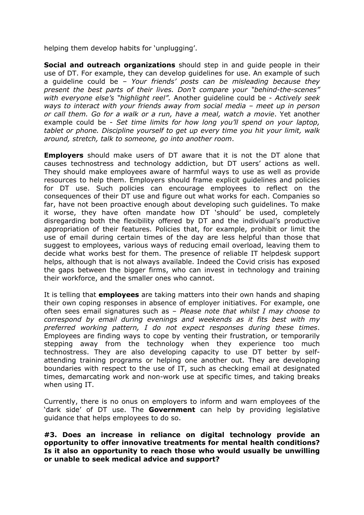helping them develop habits for 'unplugging'.

**Social and outreach organizations** should step in and guide people in their use of DT. For example, they can develop guidelines for use. An example of such a guideline could be – *Your friends' posts can be misleading because they present the best parts of their lives. Don't compare your "behind-the-scenes" with everyone else's "highlight reel".* Another guideline could be - *Actively seek ways to interact with your friends away from social media – meet up in person or call them. Go for a walk or a run, have a meal, watch a movie*. Yet another example could be - *Set time limits for how long you'll spend on your laptop, tablet or phone. Discipline yourself to get up every time you hit your limit, walk around, stretch, talk to someone, go into another room*.

**Employers** should make users of DT aware that it is not the DT alone that causes technostress and technology addiction, but DT users' actions as well. They should make employees aware of harmful ways to use as well as provide resources to help them. Employers should frame explicit guidelines and policies for DT use. Such policies can encourage employees to reflect on the consequences of their DT use and figure out what works for each. Companies so far, have not been proactive enough about developing such guidelines. To make it worse, they have often mandate how DT 'should' be used, completely disregarding both the flexibility offered by DT and the individual's productive appropriation of their features. Policies that, for example, prohibit or limit the use of email during certain times of the day are less helpful than those that suggest to employees, various ways of reducing email overload, leaving them to decide what works best for them. The presence of reliable IT helpdesk support helps, although that is not always available. Indeed the Covid crisis has exposed the gaps between the bigger firms, who can invest in technology and training their workforce, and the smaller ones who cannot.

It is telling that **employees** are taking matters into their own hands and shaping their own coping responses in absence of employer initiatives. For example, one often sees email signatures such as – *Please note that whilst I may choose to correspond by email during evenings and weekends as it fits best with my preferred working pattern, I do not expect responses during these times*. Employees are finding ways to cope by venting their frustration, or temporarily stepping away from the technology when they experience too much technostress. They are also developing capacity to use DT better by selfattending training programs or helping one another out. They are developing boundaries with respect to the use of IT, such as checking email at designated times, demarcating work and non-work use at specific times, and taking breaks when using IT.

Currently, there is no onus on employers to inform and warn employees of the 'dark side' of DT use. The **Government** can help by providing legislative guidance that helps employees to do so.

#### **#3. Does an increase in reliance on digital technology provide an opportunity to offer innovative treatments for mental health conditions? Is it also an opportunity to reach those who would usually be unwilling or unable to seek medical advice and support?**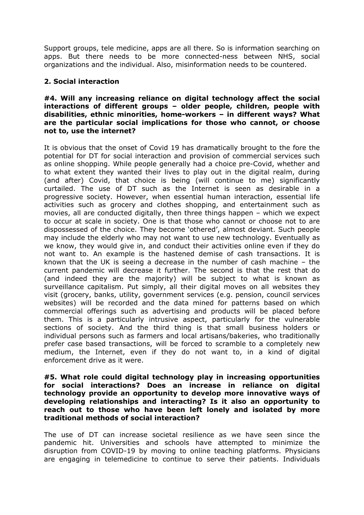Support groups, tele medicine, apps are all there. So is information searching on apps. But there needs to be more connected-ness between NHS, social organizations and the individual. Also, misinformation needs to be countered.

## **2. Social interaction**

#### **#4. Will any increasing reliance on digital technology affect the social interactions of different groups – older people, children, people with disabilities, ethnic minorities, home-workers – in different ways? What are the particular social implications for those who cannot, or choose not to, use the internet?**

It is obvious that the onset of Covid 19 has dramatically brought to the fore the potential for DT for social interaction and provision of commercial services such as online shopping. While people generally had a choice pre-Covid, whether and to what extent they wanted their lives to play out in the digital realm, during (and after) Covid, that choice is being (will continue to me) significantly curtailed. The use of DT such as the Internet is seen as desirable in a progressive society. However, when essential human interaction, essential life activities such as grocery and clothes shopping, and entertainment such as movies, all are conducted digitally, then three things happen – which we expect to occur at scale in society. One is that those who cannot or choose not to are dispossessed of the choice. They become 'othered', almost deviant. Such people may include the elderly who may not want to use new technology. Eventually as we know, they would give in, and conduct their activities online even if they do not want to. An example is the hastened demise of cash transactions. It is known that the UK is seeing a decrease in the number of cash machine – the current pandemic will decrease it further. The second is that the rest that do (and indeed they are the majority) will be subject to what is known as surveillance capitalism. Put simply, all their digital moves on all websites they visit (grocery, banks, utility, government services (e.g. pension, council services websites) will be recorded and the data mined for patterns based on which commercial offerings such as advertising and products will be placed before them. This is a particularly intrusive aspect, particularly for the vulnerable sections of society. And the third thing is that small business holders or individual persons such as farmers and local artisans/bakeries, who traditionally prefer case based transactions, will be forced to scramble to a completely new medium, the Internet, even if they do not want to, in a kind of digital enforcement drive as it were.

#### **#5. What role could digital technology play in increasing opportunities for social interactions? Does an increase in reliance on digital technology provide an opportunity to develop more innovative ways of developing relationships and interacting? Is it also an opportunity to reach out to those who have been left lonely and isolated by more traditional methods of social interaction?**

The use of DT can increase societal resilience as we have seen since the pandemic hit. Universities and schools have attempted to minimize the disruption from COVID-19 by moving to online teaching platforms. Physicians are engaging in telemedicine to continue to serve their patients. Individuals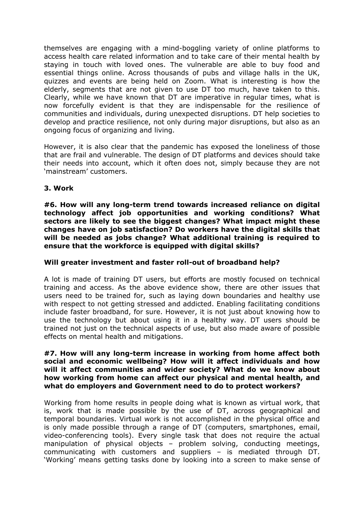themselves are engaging with a mind-boggling variety of online platforms to access health care related information and to take care of their mental health by staying in touch with loved ones. The vulnerable are able to buy food and essential things online. Across thousands of pubs and village halls in the UK, quizzes and events are being held on Zoom. What is interesting is how the elderly, segments that are not given to use DT too much, have taken to this. Clearly, while we have known that DT are imperative in regular times, what is now forcefully evident is that they are indispensable for the resilience of communities and individuals, during unexpected disruptions. DT help societies to develop and practice resilience, not only during major disruptions, but also as an ongoing focus of organizing and living.

However, it is also clear that the pandemic has exposed the loneliness of those that are frail and vulnerable. The design of DT platforms and devices should take their needs into account, which it often does not, simply because they are not 'mainstream' customers.

## **3. Work**

**#6. How will any long-term trend towards increased reliance on digital technology affect job opportunities and working conditions? What sectors are likely to see the biggest changes? What impact might these changes have on job satisfaction? Do workers have the digital skills that will be needed as jobs change? What additional training is required to ensure that the workforce is equipped with digital skills?**

## **Will greater investment and faster roll-out of broadband help?**

A lot is made of training DT users, but efforts are mostly focused on technical training and access. As the above evidence show, there are other issues that users need to be trained for, such as laying down boundaries and healthy use with respect to not getting stressed and addicted. Enabling facilitating conditions include faster broadband, for sure. However, it is not just about knowing how to use the technology but about using it in a healthy way. DT users should be trained not just on the technical aspects of use, but also made aware of possible effects on mental health and mitigations.

#### **#7. How will any long-term increase in working from home affect both social and economic wellbeing? How will it affect individuals and how will it affect communities and wider society? What do we know about how working from home can affect our physical and mental health, and what do employers and Government need to do to protect workers?**

Working from home results in people doing what is known as virtual work, that is, work that is made possible by the use of DT, across geographical and temporal boundaries. Virtual work is not accomplished in the physical office and is only made possible through a range of DT (computers, smartphones, email, video-conferencing tools). Every single task that does not require the actual manipulation of physical objects – problem solving, conducting meetings, communicating with customers and suppliers – is mediated through DT. 'Working' means getting tasks done by looking into a screen to make sense of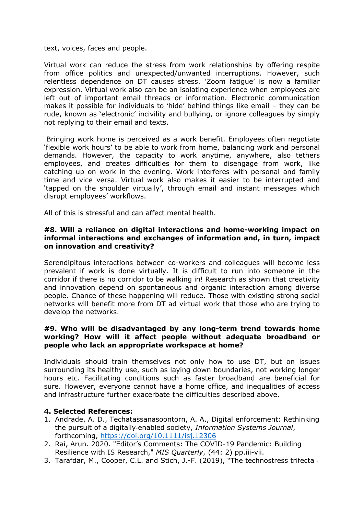text, voices, faces and people.

Virtual work can reduce the stress from work relationships by offering respite from office politics and unexpected/unwanted interruptions. However, such relentless dependence on DT causes stress. 'Zoom fatigue' is now a familiar expression. Virtual work also can be an isolating experience when employees are left out of important email threads or information. Electronic communication makes it possible for individuals to 'hide' behind things like email – they can be rude, known as 'electronic' incivility and bullying, or ignore colleagues by simply not replying to their email and texts.

Bringing work home is perceived as a work benefit. Employees often negotiate 'flexible work hours' to be able to work from home, balancing work and personal demands. However, the capacity to work anytime, anywhere, also tethers employees, and creates difficulties for them to disengage from work, like catching up on work in the evening. Work interferes with personal and family time and vice versa. Virtual work also makes it easier to be interrupted and 'tapped on the shoulder virtually', through email and instant messages which disrupt employees' workflows.

All of this is stressful and can affect mental health.

#### **#8. Will a reliance on digital interactions and home-working impact on informal interactions and exchanges of information and, in turn, impact on innovation and creativity?**

Serendipitous interactions between co-workers and colleagues will become less prevalent if work is done virtually. It is difficult to run into someone in the corridor if there is no corridor to be walking in! Research as shown that creativity and innovation depend on spontaneous and organic interaction among diverse people. Chance of these happening will reduce. Those with existing strong social networks will benefit more from DT ad virtual work that those who are trying to develop the networks.

#### **#9. Who will be disadvantaged by any long-term trend towards home working? How will it affect people without adequate broadband or people who lack an appropriate workspace at home?**

Individuals should train themselves not only how to use DT, but on issues surrounding its healthy use, such as laying down boundaries, not working longer hours etc. Facilitating conditions such as faster broadband are beneficial for sure. However, everyone cannot have a home office, and inequalities of access and infrastructure further exacerbate the difficulties described above.

#### **4. Selected References:**

- 1. Andrade, A. D., Techatassanasoontorn, A. A., Digital enforcement: Rethinking the pursuit of a digitally‐enabled society, *Information Systems Journal*, forthcoming, <https://doi.org/10.1111/isj.12306>
- 2. Rai, Arun. 2020. "Editor's Comments: The COVID-19 Pandemic: Building Resilience with IS Research," *MIS Quarterly*, (44: 2) pp.iii-vii.
- 3. Tarafdar, M., Cooper, C.L. and Stich, J.-F. (2019), "The technostress trifecta ‐